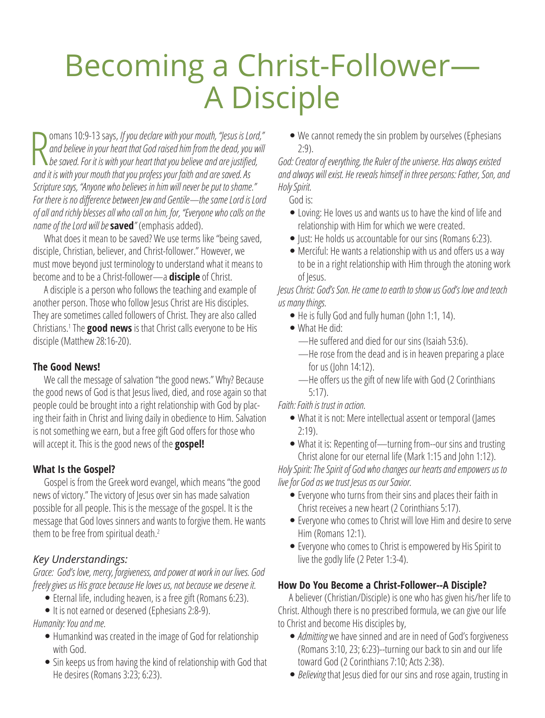# Becoming a Christ-Follower— A Disciple

R omans 10:9-13 says, *If you declare with your mouth, "Jesus is Lord," and believe in your heart that God raised him from the dead, you will be saved. For it is with your heart that you believe and are justified, and it is with your mouth that you profess your faith and are saved. As Scripture says, "Anyone who believes in him will never be put to shame." For there is no difference between Jew and Gentile—the same Lord is Lord of all and richly blesses all who call on him, for, "Everyone who calls on the name of the Lord will be* **saved***"* (emphasis added).

What does it mean to be saved? We use terms like "being saved, disciple, Christian, believer, and Christ-follower." However, we must move beyond just terminology to understand what it means to become and to be a Christ-follower—a **disciple** of Christ.

A disciple is a person who follows the teaching and example of another person. Those who follow Jesus Christ are His disciples. They are sometimes called followers of Christ. They are also called Christians.1 The **good news** is that Christ calls everyone to be His disciple (Matthew 28:16-20).

# **The Good News!**

We call the message of salvation "the good news." Why? Because the good news of God is that Jesus lived, died, and rose again so that people could be brought into a right relationship with God by placing their faith in Christ and living daily in obedience to Him. Salvation is not something we earn, but a free gift God offers for those who will accept it. This is the good news of the **gospel!**

# **What Is the Gospel?**

Gospel is from the Greek word evangel, which means "the good news of victory." The victory of Jesus over sin has made salvation possible for all people. This is the message of the gospel. It is the message that God loves sinners and wants to forgive them. He wants them to be free from spiritual death.<sup>2</sup>

# *Key Understandings:*

*Grace: God's love, mercy, forgiveness, and power at work in our lives. God freely gives us His grace because He loves us, not because we deserve it.*

- Eternal life, including heaven, is a free gift (Romans 6:23).
- It is not earned or deserved (Ephesians 2:8-9).

*Humanity: You and me.*

- O Humankind was created in the image of God for relationship with God.
- Sin keeps us from having the kind of relationship with God that He desires (Romans 3:23; 6:23).

• We cannot remedy the sin problem by ourselves (Ephesians 2:9).

*God: Creator of everything, the Ruler of the universe. Has always existed and always will exist. He reveals himself in three persons: Father, Son, and Holy Spirit.*

God is:

- Loving: He loves us and wants us to have the kind of life and relationship with Him for which we were created.
- $\bullet$  Just: He holds us accountable for our sins (Romans 6:23).
- Merciful: He wants a relationship with us and offers us a way to be in a right relationship with Him through the atoning work of Jesus.

*Jesus Christ: God's Son. He came to earth to show us God's love and teach us many things.*

- $\bullet$  He is fully God and fully human (John 1:1, 14).
- $\bullet$  What He did:
	- —He suffered and died for our sins (Isaiah 53:6).
	- —He rose from the dead and is in heaven preparing a place for us (John 14:12).
	- —He offers us the gift of new life with God (2 Corinthians 5:17).

#### *Faith: Faith is trust in action.*

- What it is not: Mere intellectual assent or temporal (James 2:19).
- What it is: Repenting of—turning from--our sins and trusting Christ alone for our eternal life (Mark 1:15 and John 1:12).

*Holy Spirit: The Spirit of God who changes our hearts and empowers us to live for God as we trust Jesus as our Savior.*

- Everyone who turns from their sins and places their faith in Christ receives a new heart (2 Corinthians 5:17).
- Everyone who comes to Christ will love Him and desire to serve Him (Romans 12:1).
- Everyone who comes to Christ is empowered by His Spirit to live the godly life (2 Peter 1:3-4).

# **How Do You Become a Christ-Follower--A Disciple?**

A believer (Christian/Disciple) is one who has given his/her life to Christ. Although there is no prescribed formula, we can give our life to Christ and become His disciples by,

- O *Admitting* we have sinned and are in need of God's forgiveness (Romans 3:10, 23; 6:23)--turning our back to sin and our life toward God (2 Corinthians 7:10; Acts 2:38).
- O *Believing* that Jesus died for our sins and rose again, trusting in